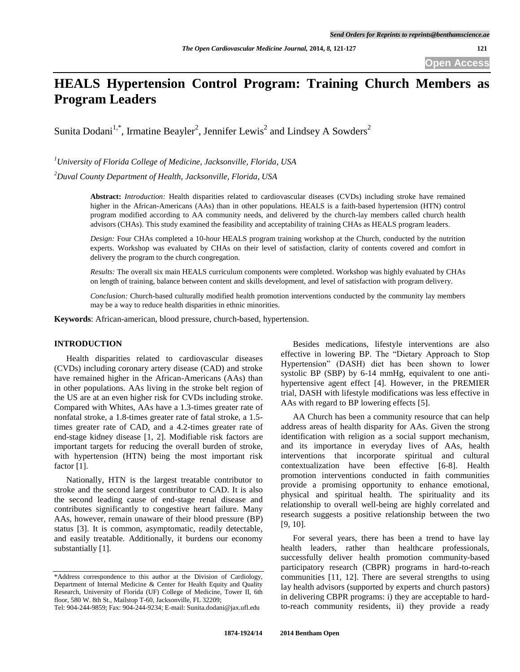# **HEALS Hypertension Control Program: Training Church Members as Program Leaders**

Sunita Dodani<sup>1,\*</sup>, Irmatine Beayler<sup>2</sup>, Jennifer Lewis<sup>2</sup> and Lindsey A Sowders<sup>2</sup>

*<sup>1</sup>University of Florida College of Medicine, Jacksonville, Florida, USA* 

*<sup>2</sup>Duval County Department of Health, Jacksonville, Florida, USA* 

**Abstract:** *Introduction:* Health disparities related to cardiovascular diseases (CVDs) including stroke have remained higher in the African-Americans (AAs) than in other populations. HEALS is a faith-based hypertension (HTN) control program modified according to AA community needs, and delivered by the church-lay members called church health advisors (CHAs). This study examined the feasibility and acceptability of training CHAs as HEALS program leaders.

*Design:* Four CHAs completed a 10-hour HEALS program training workshop at the Church, conducted by the nutrition experts. Workshop was evaluated by CHAs on their level of satisfaction, clarity of contents covered and comfort in delivery the program to the church congregation.

*Results:* The overall six main HEALS curriculum components were completed. Workshop was highly evaluated by CHAs on length of training, balance between content and skills development, and level of satisfaction with program delivery.

*Conclusion:* Church-based culturally modified health promotion interventions conducted by the community lay members may be a way to reduce health disparities in ethnic minorities.

**Keywords**: African-american, blood pressure, church-based, hypertension.

#### **INTRODUCTION**

 Health disparities related to cardiovascular diseases (CVDs) including coronary artery disease (CAD) and stroke have remained higher in the African-Americans (AAs) than in other populations. AAs living in the stroke belt region of the US are at an even higher risk for CVDs including stroke. Compared with Whites, AAs have a 1.3-times greater rate of nonfatal stroke, a 1.8-times greater rate of fatal stroke, a 1.5 times greater rate of CAD, and a 4.2-times greater rate of end-stage kidney disease [1, 2]. Modifiable risk factors are important targets for reducing the overall burden of stroke, with hypertension (HTN) being the most important risk factor [1].

 Nationally, HTN is the largest treatable contributor to stroke and the second largest contributor to CAD. It is also the second leading cause of end-stage renal disease and contributes significantly to congestive heart failure. Many AAs, however, remain unaware of their blood pressure (BP) status [3]. It is common, asymptomatic, readily detectable, and easily treatable. Additionally, it burdens our economy substantially [1].

 Besides medications, lifestyle interventions are also effective in lowering BP. The "Dietary Approach to Stop Hypertension" (DASH) diet has been shown to lower systolic BP (SBP) by 6-14 mmHg, equivalent to one antihypertensive agent effect [4]. However, in the PREMIER trial, DASH with lifestyle modifications was less effective in AAs with regard to BP lowering effects [5].

AA Church has been a community resource that can help address areas of health disparity for AAs. Given the strong identification with religion as a social support mechanism, and its importance in everyday lives of AAs, health interventions that incorporate spiritual and cultural contextualization have been effective [6-8]. Health promotion interventions conducted in faith communities provide a promising opportunity to enhance emotional, physical and spiritual health. The spirituality and its relationship to overall well-being are highly correlated and research suggests a positive relationship between the two [9, 10].

 For several years, there has been a trend to have lay health leaders, rather than healthcare professionals, successfully deliver health promotion community-based participatory research (CBPR) programs in hard-to-reach communities [11, 12]. There are several strengths to using lay health advisors (supported by experts and church pastors) in delivering CBPR programs: i) they are acceptable to hardto-reach community residents, ii) they provide a ready

<sup>\*</sup>Address correspondence to this author at the Division of Cardiology, Department of Internal Medicine & Center for Health Equity and Quality Research, University of Florida (UF) College of Medicine, Tower II, 6th floor, 580 W. 8th St., Mailstop T-60, Jacksonville, FL 32209;

Tel: 904-244-9859; Fax: 904-244-9234; E-mail: Sunita.dodani@jax.ufl.edu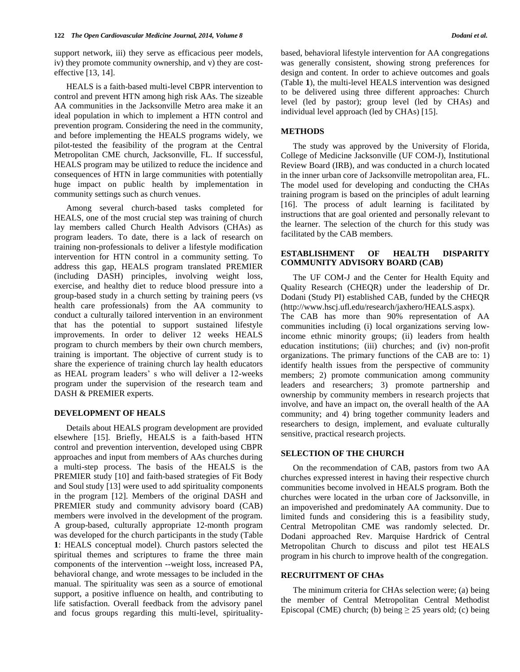support network, iii) they serve as efficacious peer models, iv) they promote community ownership, and v) they are costeffective [13, 14].

 HEALS is a faith-based multi-level CBPR intervention to control and prevent HTN among high risk AAs. The sizeable AA communities in the Jacksonville Metro area make it an ideal population in which to implement a HTN control and prevention program. Considering the need in the community, and before implementing the HEALS programs widely, we pilot-tested the feasibility of the program at the Central Metropolitan CME church, Jacksonville, FL. If successful, HEALS program may be utilized to reduce the incidence and consequences of HTN in large communities with potentially huge impact on public health by implementation in community settings such as church venues.

 Among several church-based tasks completed for HEALS, one of the most crucial step was training of church lay members called Church Health Advisors (CHAs) as program leaders. To date, there is a lack of research on training non-professionals to deliver a lifestyle modification intervention for HTN control in a community setting. To address this gap, HEALS program translated PREMIER (including DASH) principles, involving weight loss, exercise, and healthy diet to reduce blood pressure into a group-based study in a church setting by training peers (vs health care professionals) from the AA community to conduct a culturally tailored intervention in an environment that has the potential to support sustained lifestyle improvements. In order to deliver 12 weeks HEALS program to church members by their own church members, training is important. The objective of current study is to share the experience of training church lay health educators as HEAL program leaders' s who will deliver a 12-weeks program under the supervision of the research team and DASH & PREMIER experts.

#### **DEVELOPMENT OF HEALS**

 Details about HEALS program development are provided elsewhere [15]. Briefly, HEALS is a faith-based HTN control and prevention intervention, developed using CBPR approaches and input from members of AAs churches during a multi-step process. The basis of the HEALS is the PREMIER study [10] and faith-based strategies of Fit Body and Soul study [13] were used to add spirituality components in the program [12]. Members of the original DASH and PREMIER study and community advisory board (CAB) members were involved in the development of the program. A group-based, culturally appropriate 12-month program was developed for the church participants in the study (Table **1**: HEALS conceptual model). Church pastors selected the spiritual themes and scriptures to frame the three main components of the intervention --weight loss, increased PA, behavioral change, and wrote messages to be included in the manual. The spirituality was seen as a source of emotional support, a positive influence on health, and contributing to life satisfaction. Overall feedback from the advisory panel and focus groups regarding this multi-level, spiritualitybased, behavioral lifestyle intervention for AA congregations was generally consistent, showing strong preferences for design and content. In order to achieve outcomes and goals (Table **1**), the multi-level HEALS intervention was designed to be delivered using three different approaches: Church level (led by pastor); group level (led by CHAs) and individual level approach (led by CHAs) [15].

#### **METHODS**

The study was approved by the University of Florida, College of Medicine Jacksonville (UF COM-J), Institutional Review Board (IRB), and was conducted in a church located in the inner urban core of Jacksonville metropolitan area, FL. The model used for developing and conducting the CHAs training program is based on the principles of adult learning [16]. The process of adult learning is facilitated by instructions that are goal oriented and personally relevant to the learner. The selection of the church for this study was facilitated by the CAB members.

#### **ESTABLISHMENT OF HEALTH DISPARITY COMMUNITY ADVISORY BOARD (CAB)**

 The UF COM-J and the Center for Health Equity and Quality Research (CHEQR) under the leadership of Dr. Dodani (Study PI) established CAB, funded by the CHEQR (http://www.hscj.ufl.edu/research/jaxhero/HEALS.aspx).

The CAB has more than 90% representation of AA communities including (i) local organizations serving lowincome ethnic minority groups; (ii) leaders from health education institutions; (iii) churches; and (iv) non-profit organizations. The primary functions of the CAB are to: 1) identify health issues from the perspective of community members; 2) promote communication among community leaders and researchers; 3) promote partnership and ownership by community members in research projects that involve, and have an impact on, the overall health of the AA community; and 4) bring together community leaders and researchers to design, implement, and evaluate culturally sensitive, practical research projects.

### **SELECTION OF THE CHURCH**

 On the recommendation of CAB, pastors from two AA churches expressed interest in having their respective church communities become involved in HEALS program. Both the churches were located in the urban core of Jacksonville, in an impoverished and predominately AA community. Due to limited funds and considering this is a feasibility study, Central Metropolitan CME was randomly selected. Dr. Dodani approached Rev. Marquise Hardrick of Central Metropolitan Church to discuss and pilot test HEALS program in his church to improve health of the congregation.

#### **RECRUITMENT OF CHAs**

 The minimum criteria for CHAs selection were; (a) being the member of Central Metropolitan Central Methodist Episcopal (CME) church; (b) being  $\geq$  25 years old; (c) being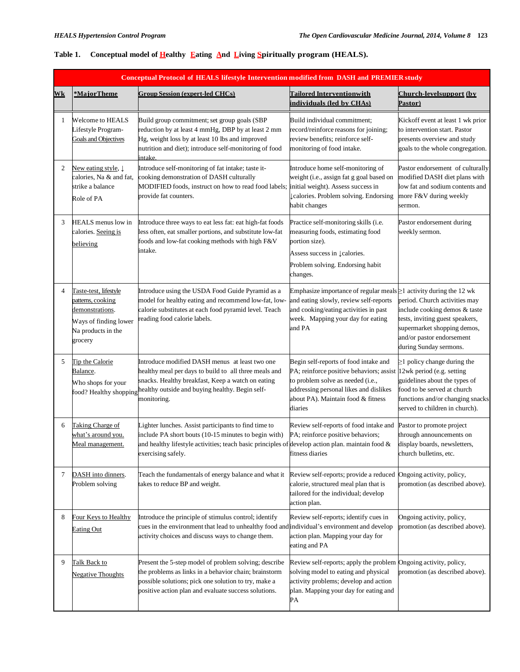| Conceptual Protocol of HEALS lifestyle Intervention modified from DASH and PREMIER study |                                                                                                                         |                                                                                                                                                                                                                                           |                                                                                                                                                                                                                                             |                                                                                                                                                                                         |  |  |
|------------------------------------------------------------------------------------------|-------------------------------------------------------------------------------------------------------------------------|-------------------------------------------------------------------------------------------------------------------------------------------------------------------------------------------------------------------------------------------|---------------------------------------------------------------------------------------------------------------------------------------------------------------------------------------------------------------------------------------------|-----------------------------------------------------------------------------------------------------------------------------------------------------------------------------------------|--|--|
| Wk                                                                                       | *MajorTheme                                                                                                             | <b>Group Session (expert-led CHCs)</b>                                                                                                                                                                                                    | <b>Tailored Interventionwith</b><br>individuals (led by CHAs)                                                                                                                                                                               | Church-levelsupport (by<br>Pastor)                                                                                                                                                      |  |  |
| 1                                                                                        | <b>Welcome to HEALS</b><br>Lifestyle Program-<br>Goals and Objectives                                                   | Build group commitment; set group goals (SBP<br>reduction by at least 4 mmHg, DBP by at least 2 mm<br>Hg, weight loss by at least 10 lbs and improved<br>nutrition and diet); introduce self-monitoring of food<br>intake.                | Build individual commitment;<br>record/reinforce reasons for joining;<br>review benefits; reinforce self-<br>monitoring of food intake.                                                                                                     | Kickoff event at least 1 wk prior<br>to intervention start. Pastor<br>presents overview and study<br>goals to the whole congregation.                                                   |  |  |
| $\overline{c}$                                                                           | New eating style, $\downarrow$<br>calories, Na & and fat,<br>strike a balance<br>Role of PA                             | Introduce self-monitoring of fat intake; taste it-<br>cooking demonstration of DASH culturally<br>MODIFIED foods, instruct on how to read food labels;<br>provide fat counters.                                                           | Introduce home self-monitoring of<br>weight (i.e., assign fat g goal based on<br>initial weight). Assess success in<br>Lealories. Problem solving. Endorsing<br>habit changes                                                               | Pastor endorsement of culturally<br>modified DASH diet plans with<br>low fat and sodium contents and<br>more F&V during weekly<br>sermon.                                               |  |  |
| 3                                                                                        | <b>HEALS</b> menus low in<br>calories. Seeing is<br>believing                                                           | Introduce three ways to eat less fat: eat high-fat foods<br>less often, eat smaller portions, and substitute low-fat<br>foods and low-fat cooking methods with high F&V<br>intake.                                                        | Practice self-monitoring skills (i.e.<br>measuring foods, estimating food<br>portion size).                                                                                                                                                 | Pastor endorsement during<br>weekly sermon.                                                                                                                                             |  |  |
|                                                                                          |                                                                                                                         |                                                                                                                                                                                                                                           | Assess success in ↓ calories.<br>Problem solving. Endorsing habit<br>changes.                                                                                                                                                               |                                                                                                                                                                                         |  |  |
| 4                                                                                        | Taste-test, lifestyle<br>patterns, cooking<br>demonstrations.<br>Ways of finding lower<br>Na products in the<br>grocery | Introduce using the USDA Food Guide Pyramid as a<br>model for healthy eating and recommend low-fat, low-<br>calorie substitutes at each food pyramid level. Teach<br>reading food calorie labels.                                         | Emphasize importance of regular meals $\geq 1$ activity during the 12 wk<br>and eating slowly, review self-reports<br>and cooking/eating activities in past<br>week. Mapping your day for eating<br>and PA                                  | period. Church activities may<br>include cooking demos & taste<br>tests, inviting guest speakers,<br>supermarket shopping demos,<br>and/or pastor endorsement<br>during Sunday sermons. |  |  |
| 5                                                                                        | Tip the Calorie<br>Balance.<br>Who shops for your<br>food? Healthy shopping                                             | Introduce modified DASH menus at least two one<br>healthy meal per days to build to all three meals and<br>snacks. Healthy breakfast, Keep a watch on eating<br>healthy outside and buying healthy. Begin self-<br>monitoring.            | Begin self-reports of food intake and<br>PA; reinforce positive behaviors; assist 12wk period (e.g. setting<br>to problem solve as needed (i.e.,<br>addressing personal likes and dislikes<br>about PA). Maintain food & fitness<br>diaries | $\geq$ 1 policy change during the<br>guidelines about the types of<br>food to be served at church<br>functions and/or changing snacks<br>served to children in church).                 |  |  |
| 6                                                                                        | Taking Charge of<br>what's around you.<br>Meal management.                                                              | Lighter lunches. Assist participants to find time to<br>include PA short bouts (10-15 minutes to begin with)<br>and healthy lifestyle activities; teach basic principles of develop action plan. maintain food $\&$<br>exercising safely. | Review self-reports of food intake and<br>PA; reinforce positive behaviors;<br>fitness diaries                                                                                                                                              | Pastor to promote project<br>through announcements on<br>display boards, newsletters,<br>church bulletins, etc.                                                                         |  |  |
| $\tau$                                                                                   | DASH into dinners.<br>Problem solving                                                                                   | Teach the fundamentals of energy balance and what it<br>takes to reduce BP and weight.                                                                                                                                                    | Review self-reports; provide a reduced Ongoing activity, policy,<br>calorie, structured meal plan that is<br>tailored for the individual; develop<br>action plan.                                                                           | promotion (as described above).                                                                                                                                                         |  |  |
| 8                                                                                        | Four Keys to Healthy<br><b>Eating Out</b>                                                                               | Introduce the principle of stimulus control; identify<br>cues in the environment that lead to unhealthy food and individual's environment and develop<br>activity choices and discuss ways to change them.                                | Review self-reports; identify cues in<br>action plan. Mapping your day for<br>eating and PA                                                                                                                                                 | Ongoing activity, policy,<br>promotion (as described above).                                                                                                                            |  |  |
| 9                                                                                        | Talk Back to<br><b>Negative Thoughts</b>                                                                                | Present the 5-step model of problem solving; describe<br>the problems as links in a behavior chain; brainstorm<br>possible solutions; pick one solution to try, make a<br>positive action plan and evaluate success solutions.            | Review self-reports; apply the problem Ongoing activity, policy,<br>solving model to eating and physical<br>activity problems; develop and action<br>plan. Mapping your day for eating and<br>PA                                            | promotion (as described above).                                                                                                                                                         |  |  |

## Table 1. Conceptual model of Healthy Eating And Living Spiritually program (HEALS).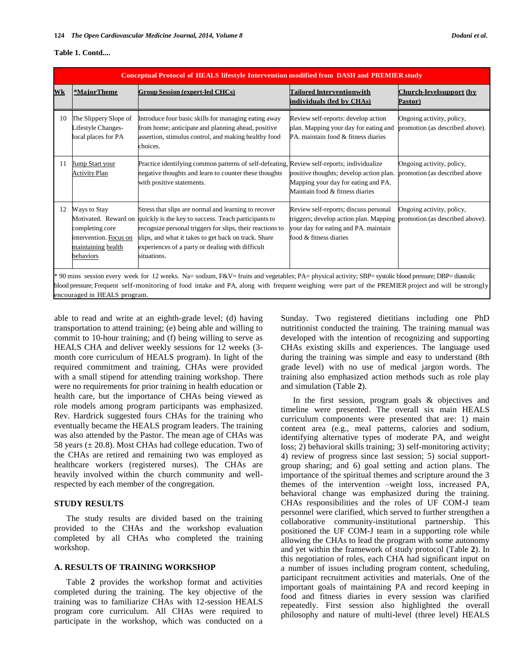#### **Table 1. Contd....**

| Conceptual Protocol of HEALS lifestyle Intervention modified from DASH and PREMIER study                                                                                                                                                                                                                                                     |                                                                                                                      |                                                                                                                                                                                                                                                                                                      |                                                                                                                                                   |                                                              |  |  |
|----------------------------------------------------------------------------------------------------------------------------------------------------------------------------------------------------------------------------------------------------------------------------------------------------------------------------------------------|----------------------------------------------------------------------------------------------------------------------|------------------------------------------------------------------------------------------------------------------------------------------------------------------------------------------------------------------------------------------------------------------------------------------------------|---------------------------------------------------------------------------------------------------------------------------------------------------|--------------------------------------------------------------|--|--|
| Wk                                                                                                                                                                                                                                                                                                                                           | *MaiorTheme                                                                                                          | <b>Group Session (expert-led CHCs)</b>                                                                                                                                                                                                                                                               | <b>Tailored Interventionwith</b><br>individuals (led by CHAs)                                                                                     | Church-levelsupport (by<br>Pastor)                           |  |  |
|                                                                                                                                                                                                                                                                                                                                              | 10 The Slippery Slope of<br>Lifestyle Changes-<br>local places for PA                                                | Introduce four basic skills for managing eating away<br>from home; anticipate and planning ahead, positive<br>assertion, stimulus control, and making healthy food<br>choices.                                                                                                                       | Review self-reports: develop action<br>plan. Mapping your day for eating and<br>PA, maintain food & fitness diaries                               | Ongoing activity, policy,<br>promotion (as described above). |  |  |
| 11                                                                                                                                                                                                                                                                                                                                           | Jump Start your<br><b>Activity Plan</b>                                                                              | Practice identifying common patterns of self-defeating, Review self-reports; individualize<br>negative thoughts and learn to counter these thoughts<br>with positive statements.                                                                                                                     | positive thoughts; develop action plan.<br>Mapping your day for eating and PA.<br>Maintain food & fitness diaries                                 | Ongoing activity, policy,<br>promotion (as described above   |  |  |
| 12                                                                                                                                                                                                                                                                                                                                           | Ways to Stay<br>Motivated. Reward on<br>completing core<br>intervention. Focus on<br>maintaining health<br>behaviors | Stress that slips are normal and learning to recover<br>quickly is the key to success. Teach participants to<br>recognize personal triggers for slips, their reactions to<br>slips, and what it takes to get back on track. Share<br>experiences of a party or dealing with difficult<br>situations. | Review self-reports; discuss personal<br>triggers; develop action plan. Mapping<br>your day for eating and PA. maintain<br>food & fitness diaries | Ongoing activity, policy,<br>promotion (as described above). |  |  |
| * 90 mins session every week for 12 weeks. Na= sodium, F&V= fruits and vegetables; PA= physical activity; SBP= systolic blood pressure; DBP= diastolic<br>blood pressure; Frequent self-monitoring of food intake and PA, along with frequent weighing were part of the PREMIER project and will be strongly<br>encouraged in HEALS program. |                                                                                                                      |                                                                                                                                                                                                                                                                                                      |                                                                                                                                                   |                                                              |  |  |

able to read and write at an eighth-grade level; (d) having transportation to attend training; (e) being able and willing to commit to 10-hour training; and (f) being willing to serve as HEALS CHA and deliver weekly sessions for 12 weeks (3 month core curriculum of HEALS program). In light of the required commitment and training, CHAs were provided with a small stipend for attending training workshop. There were no requirements for prior training in health education or health care, but the importance of CHAs being viewed as role models among program participants was emphasized. Rev. Hardrick suggested fours CHAs for the training who eventually became the HEALS program leaders. The training was also attended by the Pastor. The mean age of CHAs was 58 years  $(\pm 20.8)$ . Most CHAs had college education. Two of the CHAs are retired and remaining two was employed as healthcare workers (registered nurses). The CHAs are heavily involved within the church community and wellrespected by each member of the congregation.

#### **STUDY RESULTS**

The study results are divided based on the training provided to the CHAs and the workshop evaluation completed by all CHAs who completed the training workshop.

#### **A. RESULTS OF TRAINING WORKSHOP**

 Table **2** provides the workshop format and activities completed during the training. The key objective of the training was to familiarize CHAs with 12-session HEALS program core curriculum. All CHAs were required to participate in the workshop, which was conducted on a Sunday. Two registered dietitians including one PhD nutritionist conducted the training. The training manual was developed with the intention of recognizing and supporting CHAs existing skills and experiences. The language used during the training was simple and easy to understand (8th grade level) with no use of medical jargon words. The training also emphasized action methods such as role play and simulation (Table **2**).

 In the first session, program goals & objectives and timeline were presented. The overall six main HEALS curriculum components were presented that are: 1) main content area (e.g., meal patterns, calories and sodium, identifying alternative types of moderate PA, and weight loss; 2) behavioral skills training; 3) self-monitoring activity; 4) review of progress since last session; 5) social supportgroup sharing; and 6) goal setting and action plans. The importance of the spiritual themes and scripture around the 3 themes of the intervention –weight loss, increased PA, behavioral change was emphasized during the training. CHAs responsibilities and the roles of UF COM-J team personnel were clarified, which served to further strengthen a collaborative community-institutional partnership. This positioned the UF COM-J team in a supporting role while allowing the CHAs to lead the program with some autonomy and yet within the framework of study protocol (Table **2**). In this negotiation of roles, each CHA had significant input on a number of issues including program content, scheduling, participant recruitment activities and materials. One of the important goals of maintaining PA and record keeping in food and fitness diaries in every session was clarified repeatedly. First session also highlighted the overall philosophy and nature of multi-level (three level) HEALS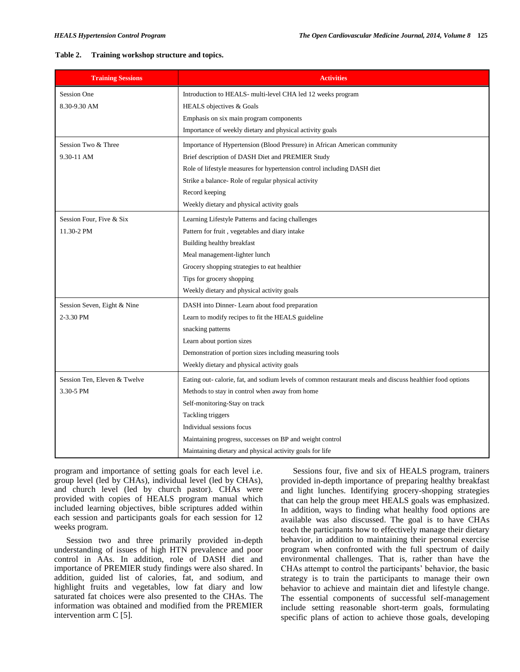#### **Table 2. Training workshop structure and topics.**

| <b>Training Sessions</b>     | <b>Activities</b>                                                                                         |
|------------------------------|-----------------------------------------------------------------------------------------------------------|
| <b>Session One</b>           | Introduction to HEALS- multi-level CHA led 12 weeks program                                               |
| 8.30-9.30 AM                 | HEALS objectives & Goals                                                                                  |
|                              | Emphasis on six main program components                                                                   |
|                              | Importance of weekly dietary and physical activity goals                                                  |
| Session Two & Three          | Importance of Hypertension (Blood Pressure) in African American community                                 |
| 9.30-11 AM                   | Brief description of DASH Diet and PREMIER Study                                                          |
|                              | Role of lifestyle measures for hypertension control including DASH diet                                   |
|                              | Strike a balance-Role of regular physical activity                                                        |
|                              | Record keeping                                                                                            |
|                              | Weekly dietary and physical activity goals                                                                |
| Session Four, Five & Six     | Learning Lifestyle Patterns and facing challenges                                                         |
| 11.30-2 PM                   | Pattern for fruit, vegetables and diary intake                                                            |
|                              | Building healthy breakfast                                                                                |
|                              | Meal management-lighter lunch                                                                             |
|                              | Grocery shopping strategies to eat healthier                                                              |
|                              | Tips for grocery shopping                                                                                 |
|                              | Weekly dietary and physical activity goals                                                                |
| Session Seven, Eight & Nine  | DASH into Dinner- Learn about food preparation                                                            |
| 2-3.30 PM                    | Learn to modify recipes to fit the HEALS guideline                                                        |
|                              | snacking patterns                                                                                         |
|                              | Learn about portion sizes                                                                                 |
|                              | Demonstration of portion sizes including measuring tools                                                  |
|                              | Weekly dietary and physical activity goals                                                                |
| Session Ten, Eleven & Twelve | Eating out- calorie, fat, and sodium levels of common restaurant meals and discuss healthier food options |
| 3.30-5 PM                    | Methods to stay in control when away from home                                                            |
|                              | Self-monitoring-Stay on track                                                                             |
|                              | Tackling triggers                                                                                         |
|                              | Individual sessions focus                                                                                 |
|                              | Maintaining progress, successes on BP and weight control                                                  |
|                              | Maintaining dietary and physical activity goals for life                                                  |

program and importance of setting goals for each level i.e. group level (led by CHAs), individual level (led by CHAs), and church level (led by church pastor). CHAs were provided with copies of HEALS program manual which included learning objectives, bible scriptures added within each session and participants goals for each session for 12 weeks program.

 Session two and three primarily provided in-depth understanding of issues of high HTN prevalence and poor control in AAs. In addition, role of DASH diet and importance of PREMIER study findings were also shared. In addition, guided list of calories, fat, and sodium, and highlight fruits and vegetables, low fat diary and low saturated fat choices were also presented to the CHAs. The information was obtained and modified from the PREMIER intervention arm C [5].

 Sessions four, five and six of HEALS program, trainers provided in-depth importance of preparing healthy breakfast and light lunches. Identifying grocery-shopping strategies that can help the group meet HEALS goals was emphasized. In addition, ways to finding what healthy food options are available was also discussed. The goal is to have CHAs teach the participants how to effectively manage their dietary behavior, in addition to maintaining their personal exercise program when confronted with the full spectrum of daily environmental challenges. That is, rather than have the CHAs attempt to control the participants' behavior, the basic strategy is to train the participants to manage their own behavior to achieve and maintain diet and lifestyle change. The essential components of successful self-management include setting reasonable short-term goals, formulating specific plans of action to achieve those goals, developing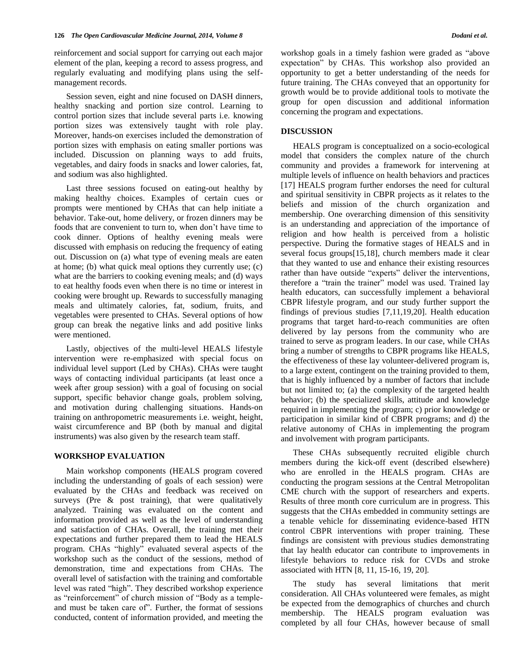reinforcement and social support for carrying out each major element of the plan, keeping a record to assess progress, and regularly evaluating and modifying plans using the selfmanagement records.

 Session seven, eight and nine focused on DASH dinners, healthy snacking and portion size control. Learning to control portion sizes that include several parts i.e. knowing portion sizes was extensively taught with role play. Moreover, hands-on exercises included the demonstration of portion sizes with emphasis on eating smaller portions was included. Discussion on planning ways to add fruits, vegetables, and dairy foods in snacks and lower calories, fat, and sodium was also highlighted.

 Last three sessions focused on eating-out healthy by making healthy choices. Examples of certain cues or prompts were mentioned by CHAs that can help initiate a behavior. Take-out, home delivery, or frozen dinners may be foods that are convenient to turn to, when don't have time to cook dinner. Options of healthy evening meals were discussed with emphasis on reducing the frequency of eating out. Discussion on (a) what type of evening meals are eaten at home; (b) what quick meal options they currently use; (c) what are the barriers to cooking evening meals; and (d) ways to eat healthy foods even when there is no time or interest in cooking were brought up. Rewards to successfully managing meals and ultimately calories, fat, sodium, fruits, and vegetables were presented to CHAs. Several options of how group can break the negative links and add positive links were mentioned.

 Lastly, objectives of the multi-level HEALS lifestyle intervention were re-emphasized with special focus on individual level support (Led by CHAs). CHAs were taught ways of contacting individual participants (at least once a week after group session) with a goal of focusing on social support, specific behavior change goals, problem solving, and motivation during challenging situations. Hands-on training on anthropometric measurements i.e. weight, height, waist circumference and BP (both by manual and digital instruments) was also given by the research team staff.

#### **WORKSHOP EVALUATION**

 Main workshop components (HEALS program covered including the understanding of goals of each session) were evaluated by the CHAs and feedback was received on surveys (Pre  $\&$  post training), that were qualitatively analyzed. Training was evaluated on the content and information provided as well as the level of understanding and satisfaction of CHAs. Overall, the training met their expectations and further prepared them to lead the HEALS program. CHAs "highly" evaluated several aspects of the workshop such as the conduct of the sessions, method of demonstration, time and expectations from CHAs. The overall level of satisfaction with the training and comfortable level was rated "high". They described workshop experience as "reinforcement" of church mission of "Body as a templeand must be taken care of". Further, the format of sessions conducted, content of information provided, and meeting the

workshop goals in a timely fashion were graded as "above expectation" by CHAs. This workshop also provided an opportunity to get a better understanding of the needs for future training. The CHAs conveyed that an opportunity for growth would be to provide additional tools to motivate the group for open discussion and additional information concerning the program and expectations.

#### **DISCUSSION**

 HEALS program is conceptualized on a socio-ecological model that considers the complex nature of the church community and provides a framework for intervening at multiple levels of influence on health behaviors and practices [17] HEALS program further endorses the need for cultural and spiritual sensitivity in CBPR projects as it relates to the beliefs and mission of the church organization and membership. One overarching dimension of this sensitivity is an understanding and appreciation of the importance of religion and how health is perceived from a holistic perspective. During the formative stages of HEALS and in several focus groups[15,18], church members made it clear that they wanted to use and enhance their existing resources rather than have outside "experts" deliver the interventions, therefore a "train the trainer" model was used. Trained lay health educators, can successfully implement a behavioral CBPR lifestyle program, and our study further support the findings of previous studies [7,11,19,20]. Health education programs that target hard-to-reach communities are often delivered by lay persons from the community who are trained to serve as program leaders. In our case, while CHAs bring a number of strengths to CBPR programs like HEALS, the effectiveness of these lay volunteer-delivered program is, to a large extent, contingent on the training provided to them, that is highly influenced by a number of factors that include but not limited to; (a) the complexity of the targeted health behavior; (b) the specialized skills, attitude and knowledge required in implementing the program; c) prior knowledge or participation in similar kind of CBPR programs; and d) the relative autonomy of CHAs in implementing the program and involvement with program participants.

These CHAs subsequently recruited eligible church members during the kick-off event (described elsewhere) who are enrolled in the HEALS program. CHAs are conducting the program sessions at the Central Metropolitan CME church with the support of researchers and experts. Results of three month core curriculum are in progress. This suggests that the CHAs embedded in community settings are a tenable vehicle for disseminating evidence-based HTN control CBPR interventions with proper training. These fındings are consistent with previous studies demonstrating that lay health educator can contribute to improvements in lifestyle behaviors to reduce risk for CVDs and stroke associated with HTN [8, 11, 15-16, 19, 20].

 The study has several limitations that merit consideration. All CHAs volunteered were females, as might be expected from the demographics of churches and church membership. The HEALS program evaluation was completed by all four CHAs, however because of small